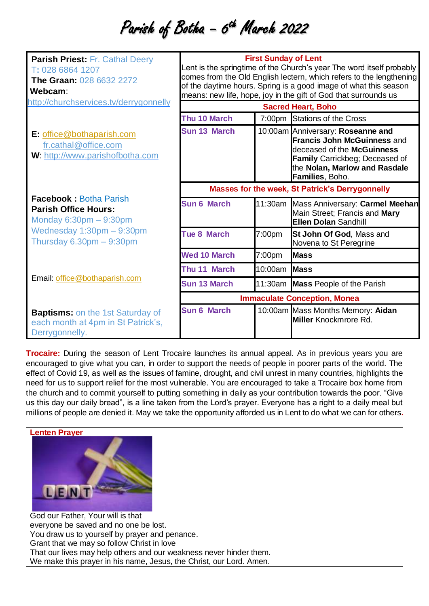## Parish of Botha - 6<sup>th</sup> March 2022

| <b>Parish Priest: Fr. Cathal Deery</b><br>T: 028 6864 1207<br><b>The Graan: 028 6632 2272</b><br>Webcam: | <b>First Sunday of Lent</b><br>Lent is the springtime of the Church's year The word itself probably<br>comes from the Old English lectern, which refers to the lengthening<br>of the daytime hours. Spring is a good image of what this season<br>means: new life, hope, joy in the gift of God that surrounds us<br><b>Sacred Heart, Boho</b> |         |                                                                                                                                                                                             |
|----------------------------------------------------------------------------------------------------------|------------------------------------------------------------------------------------------------------------------------------------------------------------------------------------------------------------------------------------------------------------------------------------------------------------------------------------------------|---------|---------------------------------------------------------------------------------------------------------------------------------------------------------------------------------------------|
| http://churchservices.tv/derrygonnelly                                                                   |                                                                                                                                                                                                                                                                                                                                                |         |                                                                                                                                                                                             |
|                                                                                                          | Thu 10 March                                                                                                                                                                                                                                                                                                                                   |         | 7:00pm Stations of the Cross                                                                                                                                                                |
| E: office@bothaparish.com<br>fr.cathal@office.com<br>W: http://www.parishofbotha.com                     | <b>Sun 13 March</b>                                                                                                                                                                                                                                                                                                                            |         | 10:00am Anniversary: Roseanne and<br><b>Francis John McGuinness and</b><br>deceased of the McGuinness<br>Family Carrickbeg; Deceased of<br>the Nolan, Marlow and Rasdale<br>Families, Boho. |
|                                                                                                          | Masses for the week, St Patrick's Derrygonnelly                                                                                                                                                                                                                                                                                                |         |                                                                                                                                                                                             |
| <b>Facebook: Botha Parish</b><br><b>Parish Office Hours:</b><br>Monday $6:30pm - 9:30pm$                 | <b>Sun 6 March</b>                                                                                                                                                                                                                                                                                                                             | 11:30am | Mass Anniversary: Carmel Meehan<br>Main Street; Francis and Mary<br><b>Ellen Dolan Sandhill</b>                                                                                             |
| Wednesday $1:30$ pm $-9:30$ pm<br>Thursday $6.30 \text{pm} - 9.30 \text{pm}$                             | <b>Tue 8 March</b>                                                                                                                                                                                                                                                                                                                             | 7:00pm  | St John Of God, Mass and<br>Novena to St Peregrine                                                                                                                                          |
|                                                                                                          | <b>Wed 10 March</b>                                                                                                                                                                                                                                                                                                                            | 7:00pm  | <b>Mass</b>                                                                                                                                                                                 |
|                                                                                                          | Thu 11 March                                                                                                                                                                                                                                                                                                                                   | 10:00am | <b>Mass</b>                                                                                                                                                                                 |
| Email: office@bothaparish.com                                                                            | <b>Sun 13 March</b>                                                                                                                                                                                                                                                                                                                            |         | 11:30am Mass People of the Parish                                                                                                                                                           |
|                                                                                                          | <b>Immaculate Conception, Monea</b>                                                                                                                                                                                                                                                                                                            |         |                                                                                                                                                                                             |
| <b>Baptisms:</b> on the 1st Saturday of<br>each month at 4pm in St Patrick's,<br>Derrygonnelly.          | <b>Sun 6 March</b>                                                                                                                                                                                                                                                                                                                             |         | 10:00am Mass Months Memory: Aidan<br><b>Miller</b> Knockmrore Rd.                                                                                                                           |

**Trocaire:** During the season of Lent Trocaire launches its annual appeal. As in previous years you are encouraged to give what you can, in order to support the needs of people in poorer parts of the world. The effect of Covid 19, as well as the issues of famine, drought, and civil unrest in many countries, highlights the need for us to support relief for the most vulnerable. You are encouraged to take a Trocaire box home from the church and to commit yourself to putting something in daily as your contribution towards the poor. "Give us this day our daily bread", is a line taken from the Lord's prayer. Everyone has a right to a daily meal but millions of people are denied it. May we take the opportunity afforded us in Lent to do what we can for others**.**